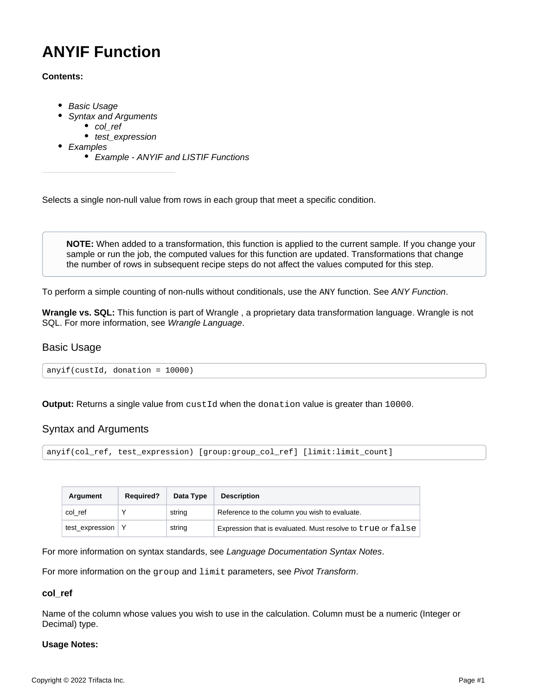# <span id="page-0-3"></span>**ANYIF Function**

### **Contents:**

- [Basic Usage](#page-0-0)
	- [Syntax and Arguments](#page-0-1)
		- [col\\_ref](#page-0-2)
		- test expression
- [Examples](#page-1-1)
	- [Example ANYIF and LISTIF Functions](#page-1-2)

Selects a single non-null value from rows in each group that meet a specific condition.

**NOTE:** When added to a transformation, this function is applied to the current sample. If you change your sample or run the job, the computed values for this function are updated. Transformations that change the number of rows in subsequent recipe steps do not affect the values computed for this step.

To perform a simple counting of non-nulls without conditionals, use the ANY function. See [ANY Function](https://docs.trifacta.com/display/r087/ANY+Function).

**Wrangle vs. SQL:** This function is part of Wrangle , a proprietary data transformation language. Wrangle is not SQL. For more information, see [Wrangle Language](https://docs.trifacta.com/display/r087/Wrangle+Language).

# <span id="page-0-0"></span>Basic Usage

anyif(custId, donation = 10000)

**Output:** Returns a single value from custId when the donation value is greater than 10000.

# <span id="page-0-1"></span>Syntax and Arguments

```
anyif(col_ref, test_expression) [group:group_col_ref] [limit:limit_count]
```

| Argument        | <b>Required?</b> | Data Type | <b>Description</b>                                          |
|-----------------|------------------|-----------|-------------------------------------------------------------|
| col ref         |                  | string    | Reference to the column you wish to evaluate.               |
| test_expression |                  | string    | Expression that is evaluated. Must resolve to true or false |

For more information on syntax standards, see [Language Documentation Syntax Notes](https://docs.trifacta.com/display/r087/Language+Documentation+Syntax+Notes).

For more information on the group and limit parameters, see [Pivot Transform](https://docs.trifacta.com/display/r087/Pivot+Transform).

#### <span id="page-0-2"></span>**col\_ref**

Name of the column whose values you wish to use in the calculation. Column must be a numeric (Integer or Decimal) type.

#### **Usage Notes:**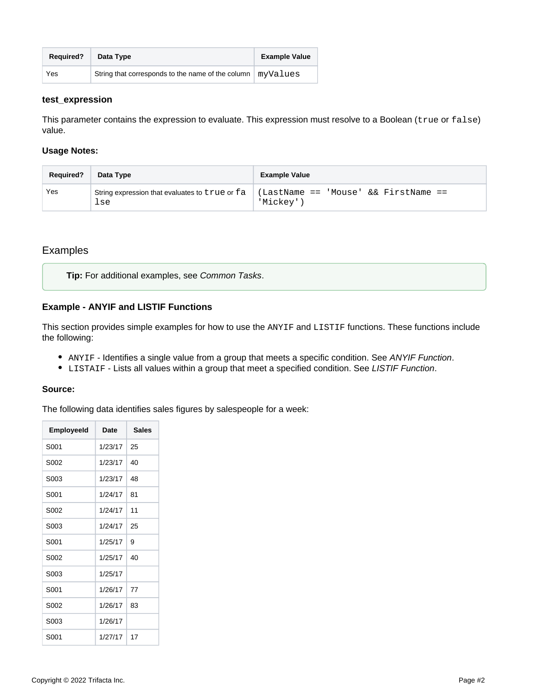| <b>Required?</b> | Data Type                                         | <b>Example Value</b> |
|------------------|---------------------------------------------------|----------------------|
| Yes              | String that corresponds to the name of the column | myValues             |

#### <span id="page-1-0"></span>**test\_expression**

This parameter contains the expression to evaluate. This expression must resolve to a Boolean (true or false) value.

#### **Usage Notes:**

| <b>Required?</b> | Data Type                                             | <b>Example Value</b>                              |
|------------------|-------------------------------------------------------|---------------------------------------------------|
| Yes              | String expression that evaluates to true or fa<br>lse | (LastName == 'Mouse' && FirstName ==<br>'Mickey'' |

# <span id="page-1-1"></span>Examples

**Tip:** For additional examples, see [Common Tasks](https://docs.trifacta.com/display/r087/Common+Tasks).

# <span id="page-1-2"></span>**Example - ANYIF and LISTIF Functions**

This section provides simple examples for how to use the ANYIF and LISTIF functions. These functions include the following:

- ANYIF Identifies a single value from a group that meets a specific condition. See [ANYIF Function](#page-0-3).
- $\bullet$  LISTAIF Lists all values within a group that meet a specified condition. See [LISTIF Function](https://docs.trifacta.com/display/r087/LISTIF+Function).

#### **Source:**

The following data identifies sales figures by salespeople for a week:

| <b>EmployeeId</b> | Date    | <b>Sales</b> |
|-------------------|---------|--------------|
| S001              | 1/23/17 | 25           |
| S002              | 1/23/17 | 40           |
| S003              | 1/23/17 | 48           |
| S001              | 1/24/17 | 81           |
| S002              | 1/24/17 | 11           |
| S003              | 1/24/17 | 25           |
| S001              | 1/25/17 | 9            |
| S002              | 1/25/17 | 40           |
| S003              | 1/25/17 |              |
| S001              | 1/26/17 | 77           |
| S002              | 1/26/17 | 83           |
| S003              | 1/26/17 |              |
| S001              | 1/27/17 | 17           |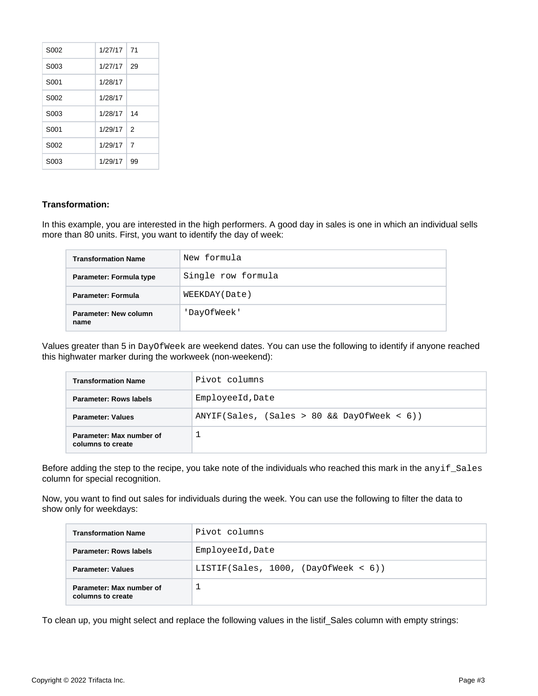| S <sub>0</sub> 02 | 1/27/17 | 71             |
|-------------------|---------|----------------|
| S <sub>00</sub> 3 | 1/27/17 | 29             |
| S <sub>001</sub>  | 1/28/17 |                |
| S <sub>0</sub> 02 | 1/28/17 |                |
| S <sub>00</sub> 3 | 1/28/17 | 14             |
| S <sub>001</sub>  | 1/29/17 | $\mathcal{P}$  |
| S <sub>0</sub> 02 | 1/29/17 | $\overline{7}$ |
| S003              | 1/29/17 | 99             |

#### **Transformation:**

In this example, you are interested in the high performers. A good day in sales is one in which an individual sells more than 80 units. First, you want to identify the day of week:

| <b>Transformation Name</b>    | New formula        |
|-------------------------------|--------------------|
| Parameter: Formula type       | Single row formula |
| Parameter: Formula            | WEEKDAY (Date)     |
| Parameter: New column<br>name | 'DayOfWeek'        |

Values greater than 5 in DayOfWeek are weekend dates. You can use the following to identify if anyone reached this highwater marker during the workweek (non-weekend):

| <b>Transformation Name</b>                    | Pivot columns                                  |  |
|-----------------------------------------------|------------------------------------------------|--|
| <b>Parameter: Rows labels</b>                 | EmployeeId, Date                               |  |
| <b>Parameter: Values</b>                      | $ANYIF(Sales, (Sales > 80 & & DayOfWeek < 6))$ |  |
| Parameter: Max number of<br>columns to create |                                                |  |

Before adding the step to the recipe, you take note of the individuals who reached this mark in the anyif\_Sales column for special recognition.

Now, you want to find out sales for individuals during the week. You can use the following to filter the data to show only for weekdays:

| <b>Transformation Name</b>                    | Pivot columns                           |  |
|-----------------------------------------------|-----------------------------------------|--|
| <b>Parameter: Rows labels</b>                 | EmployeeId, Date                        |  |
| <b>Parameter: Values</b>                      | LISTIF(Sales, 1000, (DayOfWeek < $6)$ ) |  |
| Parameter: Max number of<br>columns to create |                                         |  |

To clean up, you might select and replace the following values in the listif\_Sales column with empty strings: